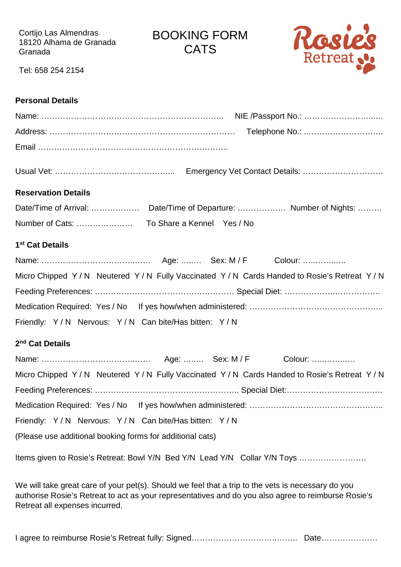Cortijo Las Almendras 18120 Alhama de Granada Granada

BOOKING FORM **CATS** 



Tel: 658 254 2154

## **Personal Details**

| <b>Reservation Details</b>                                                                                                                                                                                                                  |
|---------------------------------------------------------------------------------------------------------------------------------------------------------------------------------------------------------------------------------------------|
|                                                                                                                                                                                                                                             |
|                                                                                                                                                                                                                                             |
| 1 <sup>st</sup> Cat Details                                                                                                                                                                                                                 |
|                                                                                                                                                                                                                                             |
| Micro Chipped Y/N Neutered Y/N Fully Vaccinated Y/N Cards Handed to Rosie's Retreat Y/N                                                                                                                                                     |
|                                                                                                                                                                                                                                             |
|                                                                                                                                                                                                                                             |
| Friendly: Y/N Nervous: Y/N Can bite/Has bitten: Y/N                                                                                                                                                                                         |
| 2 <sup>nd</sup> Cat Details                                                                                                                                                                                                                 |
|                                                                                                                                                                                                                                             |
| Micro Chipped Y/N Neutered Y/N Fully Vaccinated Y/N Cards Handed to Rosie's Retreat Y/N                                                                                                                                                     |
|                                                                                                                                                                                                                                             |
|                                                                                                                                                                                                                                             |
| Friendly: Y/N Nervous: Y/N Can bite/Has bitten: Y/N                                                                                                                                                                                         |
| (Please use additional booking forms for additional cats)                                                                                                                                                                                   |
| Items given to Rosie's Retreat: Bowl Y/N Bed Y/N Lead Y/N Collar Y/N Toys                                                                                                                                                                   |
| We will take great care of your pet(s). Should we feel that a trip to the vets is necessary do you<br>authorise Rosie's Retreat to act as your representatives and do you also agree to reimburse Rosie's<br>Retreat all expenses incurred. |

I agree to reimburse Rosie's Retreat fully: Signed………………………………………………………………………………